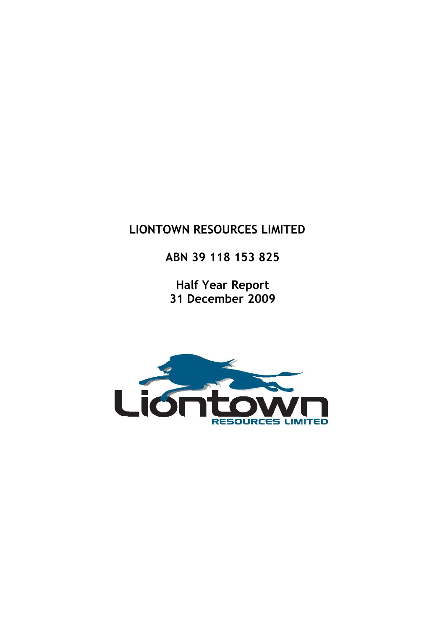# LIONTOWN RESOURCES LIMITED

ABN 39 118 153 825

Half Year Report 31 December 2009

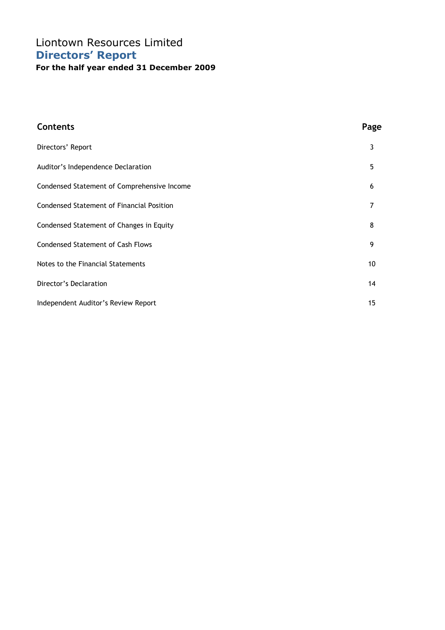## Liontown Resources Limited Directors' Report For the half year ended 31 December 2009

| <b>Contents</b>                             | Page |
|---------------------------------------------|------|
| Directors' Report                           | 3    |
| Auditor's Independence Declaration          | 5    |
| Condensed Statement of Comprehensive Income | 6    |
| Condensed Statement of Financial Position   | 7    |
| Condensed Statement of Changes in Equity    | 8    |
| <b>Condensed Statement of Cash Flows</b>    | 9    |
| Notes to the Financial Statements           | 10   |
| Director's Declaration                      | 14   |
| Independent Auditor's Review Report         | 15   |
|                                             |      |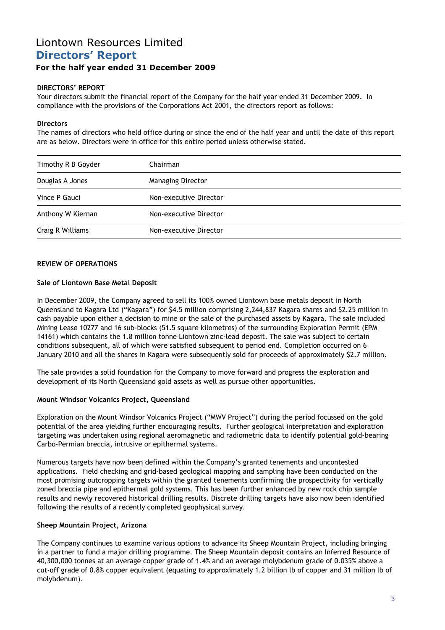# Liontown Resources Limited Directors' Report

### For the half year ended 31 December 2009

#### DIRECTORS' REPORT

Your directors submit the financial report of the Company for the half year ended 31 December 2009. In compliance with the provisions of the Corporations Act 2001, the directors report as follows:

#### **Directors**

The names of directors who held office during or since the end of the half year and until the date of this report are as below. Directors were in office for this entire period unless otherwise stated.

| Timothy R B Goyder | Chairman                 |
|--------------------|--------------------------|
| Douglas A Jones    | <b>Managing Director</b> |
| Vince P Gauci      | Non-executive Director   |
| Anthony W Kiernan  | Non-executive Director   |
| Craig R Williams   | Non-executive Director   |

#### REVIEW OF OPERATIONS

#### Sale of Liontown Base Metal Deposit

In December 2009, the Company agreed to sell its 100% owned Liontown base metals deposit in North Queensland to Kagara Ltd ("Kagara") for \$4.5 million comprising 2,244,837 Kagara shares and \$2.25 million in cash payable upon either a decision to mine or the sale of the purchased assets by Kagara. The sale included Mining Lease 10277 and 16 sub-blocks (51.5 square kilometres) of the surrounding Exploration Permit (EPM 14161) which contains the 1.8 million tonne Liontown zinc-lead deposit. The sale was subject to certain conditions subsequent, all of which were satisfied subsequent to period end. Completion occurred on 6 January 2010 and all the shares in Kagara were subsequently sold for proceeds of approximately \$2.7 million.

The sale provides a solid foundation for the Company to move forward and progress the exploration and development of its North Queensland gold assets as well as pursue other opportunities.

#### Mount Windsor Volcanics Project, Queensland

Exploration on the Mount Windsor Volcanics Project ("MWV Project") during the period focussed on the gold potential of the area yielding further encouraging results. Further geological interpretation and exploration targeting was undertaken using regional aeromagnetic and radiometric data to identify potential gold-bearing Carbo-Permian breccia, intrusive or epithermal systems.

Numerous targets have now been defined within the Company's granted tenements and uncontested applications. Field checking and grid-based geological mapping and sampling have been conducted on the most promising outcropping targets within the granted tenements confirming the prospectivity for vertically zoned breccia pipe and epithermal gold systems. This has been further enhanced by new rock chip sample results and newly recovered historical drilling results. Discrete drilling targets have also now been identified following the results of a recently completed geophysical survey.

#### Sheep Mountain Project, Arizona

The Company continues to examine various options to advance its Sheep Mountain Project, including bringing in a partner to fund a major drilling programme. The Sheep Mountain deposit contains an Inferred Resource of 40,300,000 tonnes at an average copper grade of 1.4% and an average molybdenum grade of 0.035% above a cut-off grade of 0.8% copper equivalent (equating to approximately 1.2 billion lb of copper and 31 million lb of molybdenum).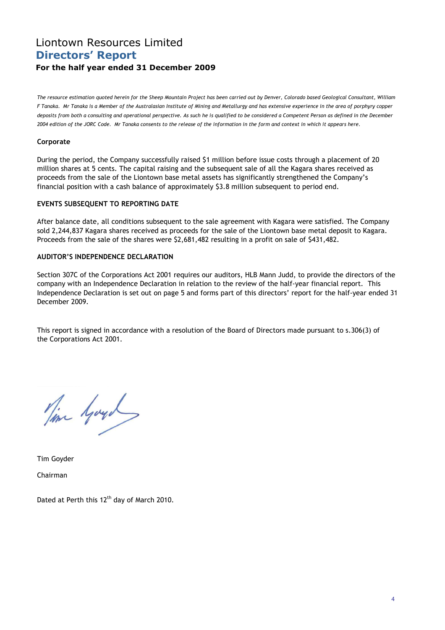### Liontown Resources Limited Directors' Report For the half year ended 31 December 2009

The resource estimation quoted herein for the Sheep Mountain Project has been carried out by Denver, Colorado based Geological Consultant, William F Tanaka. Mr Tanaka is a Member of the Australasian Institute of Mining and Metallurgy and has extensive experience in the area of porphyry copper deposits from both a consulting and operational perspective. As such he is qualified to be considered a Competent Person as defined in the December 2004 edition of the JORC Code. Mr Tanaka consents to the release of the information in the form and context in which it appears here.

#### Corporate

During the period, the Company successfully raised \$1 million before issue costs through a placement of 20 million shares at 5 cents. The capital raising and the subsequent sale of all the Kagara shares received as proceeds from the sale of the Liontown base metal assets has significantly strengthened the Company's financial position with a cash balance of approximately \$3.8 million subsequent to period end.

#### EVENTS SUBSEQUENT TO REPORTING DATE

After balance date, all conditions subsequent to the sale agreement with Kagara were satisfied. The Company sold 2,244,837 Kagara shares received as proceeds for the sale of the Liontown base metal deposit to Kagara. Proceeds from the sale of the shares were \$2,681,482 resulting in a profit on sale of \$431,482.

#### AUDITOR'S INDEPENDENCE DECLARATION

Section 307C of the Corporations Act 2001 requires our auditors, HLB Mann Judd, to provide the directors of the company with an Independence Declaration in relation to the review of the half-year financial report. This Independence Declaration is set out on page 5 and forms part of this directors' report for the half-year ended 31 December 2009.

This report is signed in accordance with a resolution of the Board of Directors made pursuant to s.306(3) of the Corporations Act 2001.

Time Gayon

Tim Goyder

Chairman

Dated at Perth this 12<sup>th</sup> day of March 2010.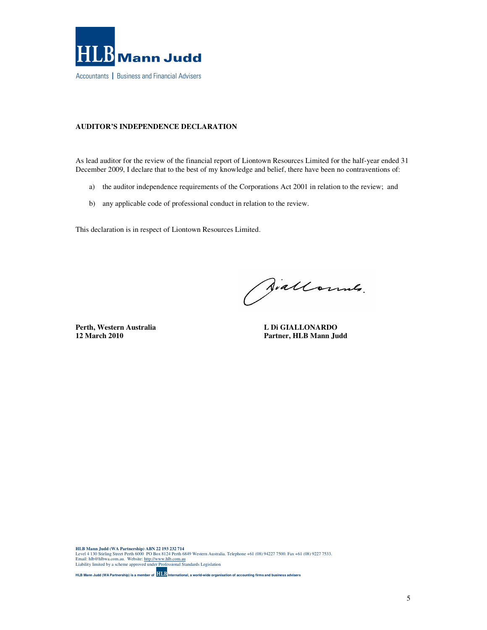

#### **AUDITOR'S INDEPENDENCE DECLARATION**

As lead auditor for the review of the financial report of Liontown Resources Limited for the half-year ended 31 December 2009, I declare that to the best of my knowledge and belief, there have been no contraventions of:

- a) the auditor independence requirements of the Corporations Act 2001 in relation to the review; and
- b) any applicable code of professional conduct in relation to the review.

This declaration is in respect of Liontown Resources Limited.

Siallonnes.

Perth, Western Australia **L Di GIALLONARDO** 

**12 March 2010 Partner, HLB Mann Judd** 

HLB Mann Judd (WA Partnership) ABN 22 193 232 714<br>Level 4 130 Stirling Street Perth 6000 PO Box 8124 Perth 6849 Western Australia. Telephone +61 (08) 94227 7500. Fax +61 (08) 9227 7533.<br>Email: hlb@hlbwa.com.au. Website: <u>h</u>

**HLB Mann Judd (WA Partnership) is a member of International, a world-wide organisation of accounting firms and business advisers**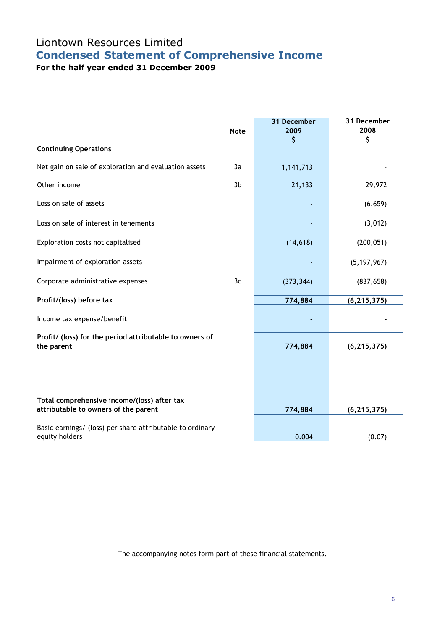# Liontown Resources Limited Condensed Statement of Comprehensive Income

For the half year ended 31 December 2009

|                                                                                     | <b>Note</b> | 31 December<br>2009 | 31 December<br>2008 |
|-------------------------------------------------------------------------------------|-------------|---------------------|---------------------|
| <b>Continuing Operations</b>                                                        |             | \$                  | \$                  |
| Net gain on sale of exploration and evaluation assets                               | 3a          | 1,141,713           |                     |
| Other income                                                                        | 3b          | 21,133              | 29,972              |
| Loss on sale of assets                                                              |             |                     | (6, 659)            |
| Loss on sale of interest in tenements                                               |             |                     | (3,012)             |
| Exploration costs not capitalised                                                   |             | (14, 618)           | (200, 051)          |
| Impairment of exploration assets                                                    |             |                     | (5, 197, 967)       |
| Corporate administrative expenses                                                   | 3c          | (373, 344)          | (837, 658)          |
| Profit/(loss) before tax                                                            |             | 774,884             | (6, 215, 375)       |
| Income tax expense/benefit                                                          |             |                     |                     |
| Profit/ (loss) for the period attributable to owners of<br>the parent               |             | 774,884             | (6, 215, 375)       |
|                                                                                     |             |                     |                     |
|                                                                                     |             |                     |                     |
| Total comprehensive income/(loss) after tax<br>attributable to owners of the parent |             | 774,884             | (6, 215, 375)       |
| Basic earnings/ (loss) per share attributable to ordinary<br>equity holders         |             | 0.004               | (0.07)              |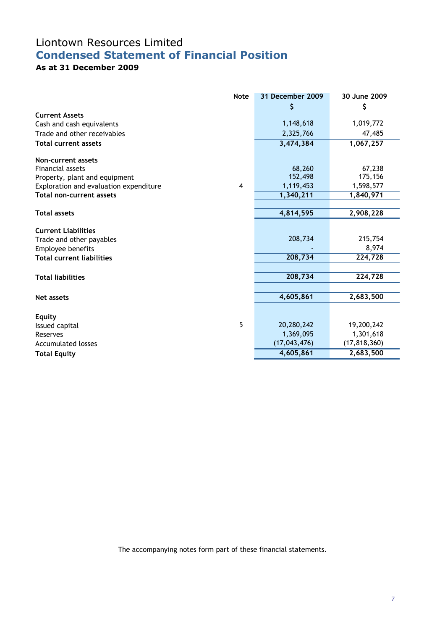# Liontown Resources Limited Condensed Statement of Financial Position

### As at 31 December 2009

|                                        | <b>Note</b>    | 31 December 2009 | 30 June 2009   |
|----------------------------------------|----------------|------------------|----------------|
|                                        |                | \$               | \$             |
| <b>Current Assets</b>                  |                |                  |                |
| Cash and cash equivalents              |                | 1,148,618        | 1,019,772      |
| Trade and other receivables            |                | 2,325,766        | 47,485         |
| <b>Total current assets</b>            |                | 3,474,384        | 1,067,257      |
| Non-current assets                     |                |                  |                |
| <b>Financial assets</b>                |                | 68,260           | 67,238         |
| Property, plant and equipment          |                | 152,498          | 175,156        |
| Exploration and evaluation expenditure | $\overline{4}$ | 1,119,453        | 1,598,577      |
| Total non-current assets               |                | 1,340,211        | 1,840,971      |
|                                        |                |                  |                |
| <b>Total assets</b>                    |                | 4,814,595        | 2,908,228      |
| <b>Current Liabilities</b>             |                |                  |                |
| Trade and other payables               |                | 208,734          | 215,754        |
| Employee benefits                      |                |                  | 8,974          |
| <b>Total current liabilities</b>       |                | 208,734          | 224,728        |
|                                        |                |                  |                |
| <b>Total liabilities</b>               |                | 208,734          | 224,728        |
|                                        |                |                  |                |
| Net assets                             |                | 4,605,861        | 2,683,500      |
|                                        |                |                  |                |
| <b>Equity</b>                          | 5              | 20,280,242       | 19,200,242     |
| Issued capital                         |                | 1,369,095        | 1,301,618      |
| Reserves<br><b>Accumulated losses</b>  |                | (17, 043, 476)   | (17, 818, 360) |
|                                        |                | 4,605,861        |                |
| <b>Total Equity</b>                    |                |                  | 2,683,500      |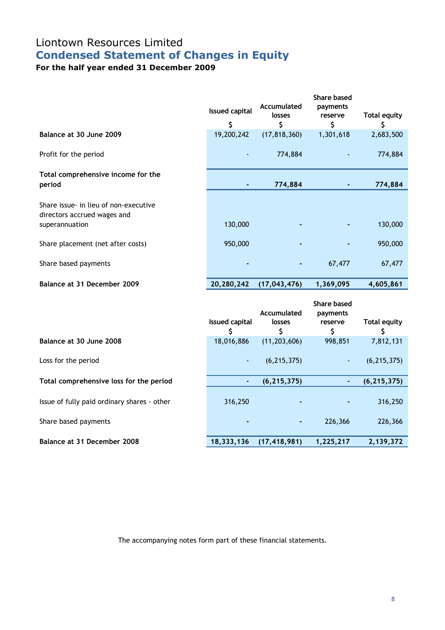# Liontown Resources Limited Condensed Statement of Changes in Equity

For the half year ended 31 December 2009

|                                                                      | <b>Issued capital</b><br>\$ | Accumulated<br>losses<br>\$ | <b>Share based</b><br>payments<br>reserve<br>\$ | <b>Total equity</b><br>\$ |
|----------------------------------------------------------------------|-----------------------------|-----------------------------|-------------------------------------------------|---------------------------|
| Balance at 30 June 2009                                              | 19,200,242                  | (17, 818, 360)              | 1,301,618                                       | 2,683,500                 |
| Profit for the period                                                |                             | 774,884                     |                                                 | 774,884                   |
| Total comprehensive income for the<br>period                         |                             | 774,884                     |                                                 | 774,884                   |
| Share issue- in lieu of non-executive<br>directors accrued wages and |                             |                             |                                                 |                           |
| superannuation                                                       | 130,000                     |                             |                                                 | 130,000                   |
| Share placement (net after costs)                                    | 950,000                     |                             |                                                 | 950,000                   |
| Share based payments                                                 |                             |                             | 67,477                                          | 67,477                    |
| Balance at 31 December 2009                                          | 20,280,242                  | (17, 043, 476)              | 1,369,095                                       | 4,605,861                 |

|                                             | <b>Issued capital</b> | Accumulated<br>losses | Share based<br>payments<br>reserve<br>\$ | <b>Total equity</b><br>S |
|---------------------------------------------|-----------------------|-----------------------|------------------------------------------|--------------------------|
| Balance at 30 June 2008                     | 18,016,886            | (11, 203, 606)        | 998,851                                  | 7,812,131                |
| Loss for the period                         | ٠                     | (6, 215, 375)         | $\sim$                                   | (6, 215, 375)            |
| Total comprehensive loss for the period     | ٠                     | (6, 215, 375)         |                                          | (6, 215, 375)            |
| Issue of fully paid ordinary shares - other | 316,250               |                       |                                          | 316,250                  |
| Share based payments                        | ٠                     | ٠                     | 226,366                                  | 226,366                  |
| Balance at 31 December 2008                 | 18,333,136            | (17, 418, 981)        | 1,225,217                                | 2,139,372                |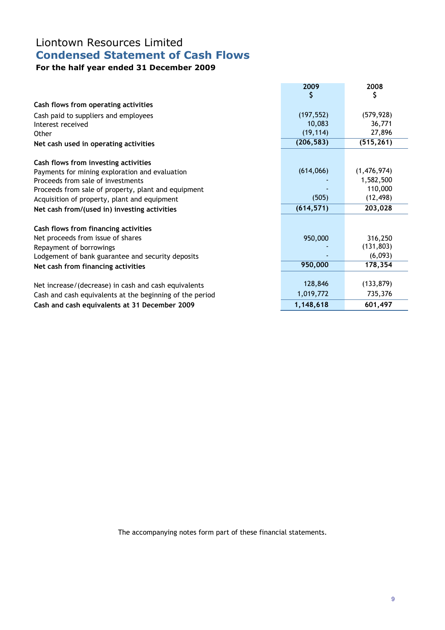# Liontown Resources Limited Condensed Statement of Cash Flows

## For the half year ended 31 December 2009

|                                                          | 2009       | 2008                  |
|----------------------------------------------------------|------------|-----------------------|
|                                                          | Ş          | \$                    |
| Cash flows from operating activities                     |            |                       |
| Cash paid to suppliers and employees                     | (197, 552) | (579, 928)            |
| Interest received                                        | 10,083     | 36,771                |
| Other                                                    | (19, 114)  | 27,896                |
| Net cash used in operating activities                    | (206, 583) | (515, 261)            |
| Cash flows from investing activities                     |            |                       |
| Payments for mining exploration and evaluation           | (614,066)  | (1,476,974)           |
| Proceeds from sale of investments                        |            | 1,582,500             |
| Proceeds from sale of property, plant and equipment      |            | 110,000               |
| Acquisition of property, plant and equipment             | (505)      | (12, 498)             |
| Net cash from/(used in) investing activities             | (614, 571) | 203,028               |
| Cash flows from financing activities                     |            |                       |
|                                                          |            |                       |
| Net proceeds from issue of shares                        | 950,000    | 316,250<br>(131, 803) |
| Repayment of borrowings                                  |            | (6,093)               |
| Lodgement of bank guarantee and security deposits        | 950,000    | 178,354               |
| Net cash from financing activities                       |            |                       |
| Net increase/(decrease) in cash and cash equivalents     | 128,846    | (133, 879)            |
| Cash and cash equivalents at the beginning of the period | 1,019,772  | 735,376               |
| Cash and cash equivalents at 31 December 2009            | 1,148,618  | 601,497               |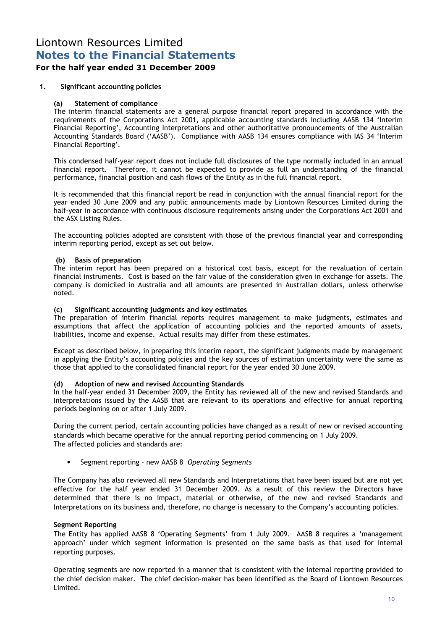## Liontown Resources Limited Notes to the Financial Statements

### For the half year ended 31 December 2009

### 1. Significant accounting policies

### (a) Statement of compliance

The interim financial statements are a general purpose financial report prepared in accordance with the requirements of the Corporations Act 2001, applicable accounting standards including AASB 134 'Interim Financial Reporting', Accounting Interpretations and other authoritative pronouncements of the Australian Accounting Standards Board ('AASB'). Compliance with AASB 134 ensures compliance with IAS 34 'Interim Financial Reporting'.

This condensed half-year report does not include full disclosures of the type normally included in an annual financial report. Therefore, it cannot be expected to provide as full an understanding of the financial performance, financial position and cash flows of the Entity as in the full financial report.

It is recommended that this financial report be read in conjunction with the annual financial report for the year ended 30 June 2009 and any public announcements made by Liontown Resources Limited during the half-year in accordance with continuous disclosure requirements arising under the Corporations Act 2001 and the ASX Listing Rules.

The accounting policies adopted are consistent with those of the previous financial year and corresponding interim reporting period, except as set out below.

#### (b) Basis of preparation

The interim report has been prepared on a historical cost basis, except for the revaluation of certain financial instruments. Cost is based on the fair value of the consideration given in exchange for assets. The company is domiciled in Australia and all amounts are presented in Australian dollars, unless otherwise noted.

#### (c) Significant accounting judgments and key estimates

The preparation of interim financial reports requires management to make judgments, estimates and assumptions that affect the application of accounting policies and the reported amounts of assets, liabilities, income and expense. Actual results may differ from these estimates.

Except as described below, in preparing this interim report, the significant judgments made by management in applying the Entity's accounting policies and the key sources of estimation uncertainty were the same as those that applied to the consolidated financial report for the year ended 30 June 2009.

#### (d) Adoption of new and revised Accounting Standards

In the half-year ended 31 December 2009, the Entity has reviewed all of the new and revised Standards and Interpretations issued by the AASB that are relevant to its operations and effective for annual reporting periods beginning on or after 1 July 2009.

During the current period, certain accounting policies have changed as a result of new or revised accounting standards which became operative for the annual reporting period commencing on 1 July 2009. The affected policies and standards are:

Segment reporting - new AASB 8 Operating Segments

The Company has also reviewed all new Standards and Interpretations that have been issued but are not yet effective for the half year ended 31 December 2009. As a result of this review the Directors have determined that there is no impact, material or otherwise, of the new and revised Standards and Interpretations on its business and, therefore, no change is necessary to the Company's accounting policies.

#### Segment Reporting

The Entity has applied AASB 8 'Operating Segments' from 1 July 2009. AASB 8 requires a 'management approach' under which segment information is presented on the same basis as that used for internal reporting purposes.

Operating segments are now reported in a manner that is consistent with the internal reporting provided to the chief decision maker. The chief decision-maker has been identified as the Board of Liontown Resources Limited.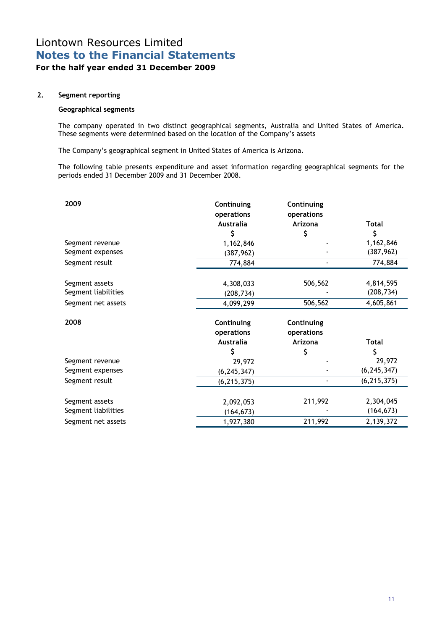### Liontown Resources Limited Notes to the Financial Statements For the half year ended 31 December 2009

#### 2. Segment reporting

#### Geographical segments

The company operated in two distinct geographical segments, Australia and United States of America. These segments were determined based on the location of the Company's assets

The Company's geographical segment in United States of America is Arizona.

The following table presents expenditure and asset information regarding geographical segments for the periods ended 31 December 2009 and 31 December 2008.

| 2009                | Continuing<br>operations<br><b>Australia</b> | Continuing<br>operations<br>Arizona | <b>Total</b>  |
|---------------------|----------------------------------------------|-------------------------------------|---------------|
|                     | \$                                           | \$                                  | \$            |
| Segment revenue     | 1,162,846                                    |                                     | 1,162,846     |
| Segment expenses    | (387, 962)                                   |                                     | (387, 962)    |
| Segment result      | 774,884                                      |                                     | 774,884       |
| Segment assets      | 4,308,033                                    | 506,562                             | 4,814,595     |
| Segment liabilities | (208, 734)                                   |                                     | (208, 734)    |
| Segment net assets  | 4,099,299                                    | 506,562                             | 4,605,861     |
| 2008                | Continuing                                   | Continuing                          |               |
|                     | operations                                   | operations                          |               |
|                     | <b>Australia</b>                             | Arizona                             | Total         |
|                     | Ś                                            | \$                                  | \$            |
| Segment revenue     | 29,972                                       |                                     | 29,972        |
| Segment expenses    | (6, 245, 347)                                |                                     | (6, 245, 347) |
| Segment result      | (6, 215, 375)                                |                                     | (6, 215, 375) |
| Segment assets      | 2,092,053                                    | 211,992                             | 2,304,045     |
| Segment liabilities | (164, 673)                                   |                                     | (164, 673)    |
| Segment net assets  | 1,927,380                                    | 211,992                             | 2,139,372     |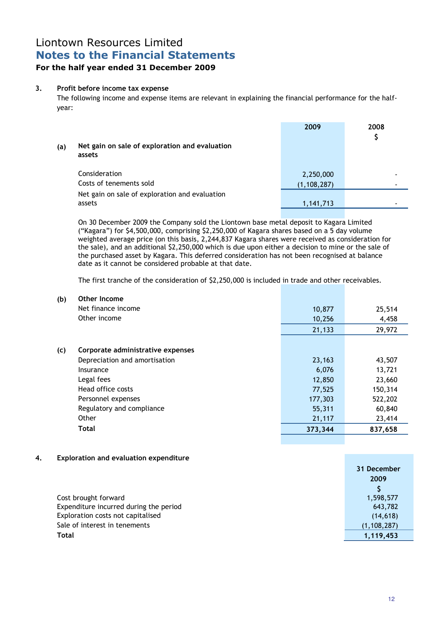## Liontown Resources Limited Notes to the Financial Statements

### For the half year ended 31 December 2009

#### 3. Profit before income tax expense

The following income and expense items are relevant in explaining the financial performance for the halfyear:

| (a) | Net gain on sale of exploration and evaluation<br>assets | 2009          | 2008<br>\$ |
|-----|----------------------------------------------------------|---------------|------------|
|     | Consideration                                            | 2,250,000     |            |
|     | Costs of tenements sold                                  | (1, 108, 287) |            |
|     | Net gain on sale of exploration and evaluation           |               |            |
|     | assets                                                   | 1,141,713     |            |

On 30 December 2009 the Company sold the Liontown base metal deposit to Kagara Limited ("Kagara") for \$4,500,000, comprising \$2,250,000 of Kagara shares based on a 5 day volume weighted average price (on this basis, 2,244,837 Kagara shares were received as consideration for the sale), and an additional \$2,250,000 which is due upon either a decision to mine or the sale of the purchased asset by Kagara. This deferred consideration has not been recognised at balance date as it cannot be considered probable at that date.

The first tranche of the consideration of \$2,250,000 is included in trade and other receivables.

| (b) | Other Income                      |         |         |
|-----|-----------------------------------|---------|---------|
|     | Net finance income                | 10,877  | 25,514  |
|     | Other income                      | 10,256  | 4,458   |
|     |                                   | 21,133  | 29,972  |
|     |                                   |         |         |
| (c) | Corporate administrative expenses |         |         |
|     | Depreciation and amortisation     | 23,163  | 43,507  |
|     | Insurance                         | 6,076   | 13,721  |
|     | Legal fees                        | 12,850  | 23,660  |
|     | Head office costs                 | 77,525  | 150,314 |
|     | Personnel expenses                | 177,303 | 522,202 |
|     | Regulatory and compliance         | 55,311  | 60,840  |
|     | Other                             | 21,117  | 23,414  |
|     | <b>Total</b>                      | 373,344 | 837,658 |
|     |                                   |         |         |

#### 4. Exploration and evaluation expenditure

|                                        | 31 December   |
|----------------------------------------|---------------|
|                                        | 2009          |
|                                        |               |
| Cost brought forward                   | 1,598,577     |
| Expenditure incurred during the period | 643,782       |
| Exploration costs not capitalised      | (14, 618)     |
| Sale of interest in tenements          | (1, 108, 287) |
| Total                                  | 1,119,453     |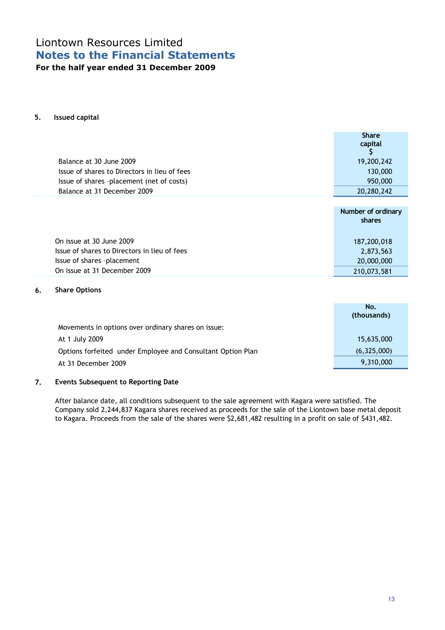## Liontown Resources Limited Notes to the Financial Statements For the half year ended 31 December 2009

#### 5. Issued capital

|                                              | <b>Share</b><br>capital |
|----------------------------------------------|-------------------------|
| Balance at 30 June 2009                      | 19,200,242              |
| Issue of shares to Directors in lieu of fees | 130,000                 |
| Issue of shares -placement (net of costs)    | 950,000                 |
| Balance at 31 December 2009                  | 20,280,242              |
|                                              |                         |
|                                              | Number of ordinary      |

|                                              | <b>NUTTIVEL OF OF GIFTALLY</b><br>shares |
|----------------------------------------------|------------------------------------------|
| On issue at 30 June 2009                     | 187,200,018                              |
| Issue of shares to Directors in lieu of fees | 2,873,563                                |
| Issue of shares -placement                   | 20,000,000                               |
| On issue at 31 December 2009                 | 210,073,581                              |

#### 6. Share Options

|                                                             | No.<br>(thousands) |
|-------------------------------------------------------------|--------------------|
| Movements in options over ordinary shares on issue:         |                    |
| At 1 July 2009                                              | 15,635,000         |
| Options forfeited under Employee and Consultant Option Plan | (6,325,000)        |
| At 31 December 2009                                         | 9,310,000          |

#### 7. Events Subsequent to Reporting Date

After balance date, all conditions subsequent to the sale agreement with Kagara were satisfied. The Company sold 2,244,837 Kagara shares received as proceeds for the sale of the Liontown base metal deposit to Kagara. Proceeds from the sale of the shares were \$2,681,482 resulting in a profit on sale of \$431,482.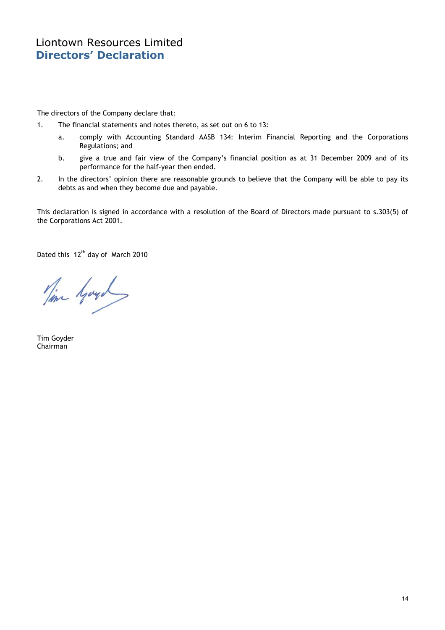## Liontown Resources Limited Directors' Declaration

The directors of the Company declare that:

- 1. The financial statements and notes thereto, as set out on 6 to 13:
	- a. comply with Accounting Standard AASB 134: Interim Financial Reporting and the Corporations Regulations; and
	- b. give a true and fair view of the Company's financial position as at 31 December 2009 and of its performance for the half-year then ended.
- 2. In the directors' opinion there are reasonable grounds to believe that the Company will be able to pay its debts as and when they become due and payable.

This declaration is signed in accordance with a resolution of the Board of Directors made pursuant to s.303(5) of the Corporations Act 2001.

Dated this 12<sup>th</sup> day of March 2010

Time Hoyd

Tim Goyder Chairman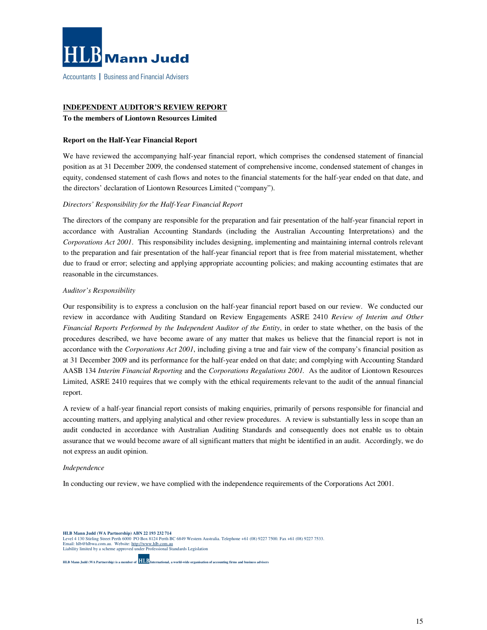

Accountants | Business and Financial Advisers

#### **INDEPENDENT AUDITOR'S REVIEW REPORT**

#### **To the members of Liontown Resources Limited**

#### **Report on the Half-Year Financial Report**

We have reviewed the accompanying half-year financial report, which comprises the condensed statement of financial position as at 31 December 2009, the condensed statement of comprehensive income, condensed statement of changes in equity, condensed statement of cash flows and notes to the financial statements for the half-year ended on that date, and the directors' declaration of Liontown Resources Limited ("company").

#### *Directors' Responsibility for the Half-Year Financial Report*

The directors of the company are responsible for the preparation and fair presentation of the half-year financial report in accordance with Australian Accounting Standards (including the Australian Accounting Interpretations) and the *Corporations Act 2001*. This responsibility includes designing, implementing and maintaining internal controls relevant to the preparation and fair presentation of the half-year financial report that is free from material misstatement, whether due to fraud or error; selecting and applying appropriate accounting policies; and making accounting estimates that are reasonable in the circumstances.

#### *Auditor's Responsibility*

Our responsibility is to express a conclusion on the half-year financial report based on our review. We conducted our review in accordance with Auditing Standard on Review Engagements ASRE 2410 *Review of Interim and Other Financial Reports Performed by the Independent Auditor of the Entity*, in order to state whether, on the basis of the procedures described, we have become aware of any matter that makes us believe that the financial report is not in accordance with the *Corporations Act 2001*, including giving a true and fair view of the company's financial position as at 31 December 2009 and its performance for the half-year ended on that date; and complying with Accounting Standard AASB 134 *Interim Financial Reporting* and the *Corporations Regulations 2001.* As the auditor of Liontown Resources Limited, ASRE 2410 requires that we comply with the ethical requirements relevant to the audit of the annual financial report.

A review of a half-year financial report consists of making enquiries, primarily of persons responsible for financial and accounting matters, and applying analytical and other review procedures. A review is substantially less in scope than an audit conducted in accordance with Australian Auditing Standards and consequently does not enable us to obtain assurance that we would become aware of all significant matters that might be identified in an audit. Accordingly, we do not express an audit opinion.

#### *Independence*

In conducting our review, we have complied with the independence requirements of the Corporations Act 2001.

**HLB Mann Judd (WA Partnership) ABN 22 193 232 714**<br>Level 4 130 Stirling Street Perth 6000 PO Box 8124 Perth BC 6849 Western Australia. Telephone +61 (08) 9227 7500. Fax +61 (08) 9227 7533.<br>Email: hlb@hlbwa.com.au. Website Liability limited by a scheme approved under Professional Standards Legislation

**HLB Mann Judd (WA Partnership) is a member of International, a world-wide organisation of accounting firms and business advisers**